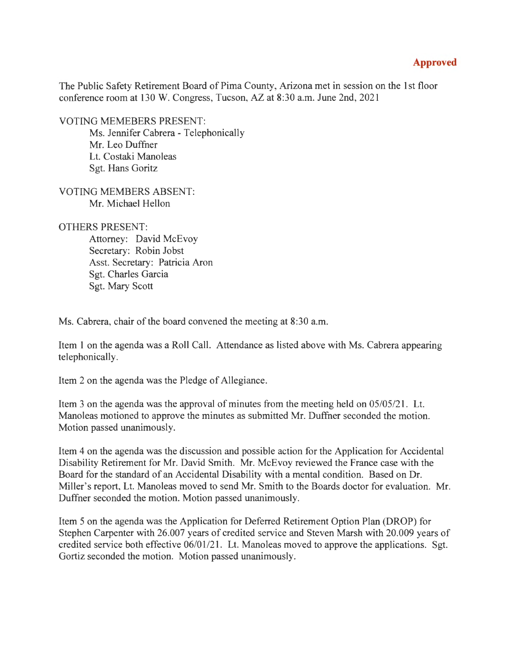## **Approved**

The Public Safety Retirement Board of Pima County, Arizona met in session on the 1st floor conference room at 130 W. Congress, Tucson, *AZ* at 8:30 a.m. June 2nd, 2021

VOTING MEMEBERS PRESENT:

Ms. Jennifer Cabrera - Telephonically Mr. Leo Duffner Lt. Costaki Manoleas Sgt. Hans Goritz

VOTING MEMBERS ABSENT: Mr. Michael Hellon

## OTHERS PRESENT:

Attorney: David McEvoy Secretary: Robin Jobst Asst. Secretary: Patricia Aron Sgt. Charles Garcia Sgt. Mary Scott

Ms. Cabrera, chair of the board convened the meeting at 8:30 a.m.

Item 1 on the agenda was a Roll Call. Attendance as listed above with Ms. Cabrera appearing telephonically.

Item 2 on the agenda was the Pledge of Allegiance.

Item 3 on the agenda was the approval of minutes from the meeting held on 05/05/21. Lt. Manoleas motioned to approve the minutes as submitted Mr. Duffner seconded the motion. Motion passed unanimously.

Item 4 on the agenda was the discussion and possible action for the Application for Accidental Disability Retirement for Mr. David Smith. Mr. McEvoy reviewed the France case with the Board for the standard of an Accidental Disability with a mental condition. Based on Dr. Miller's report, Lt. Manoleas moved to send Mr. Smith to the Boards doctor for evaluation. Mr. Duffner seconded the motion. Motion passed unanimously.

Item 5 on the agenda was the Application for Deferred Retirement Option Plan (DROP) for Stephen Carpenter with 26.007 years of credited service and Steven Marsh with 20.009 years of credited service both effective 06/01/21. Lt. Manoleas moved to approve the applications. Sgt. Gortiz seconded the motion. Motion passed unanimously.